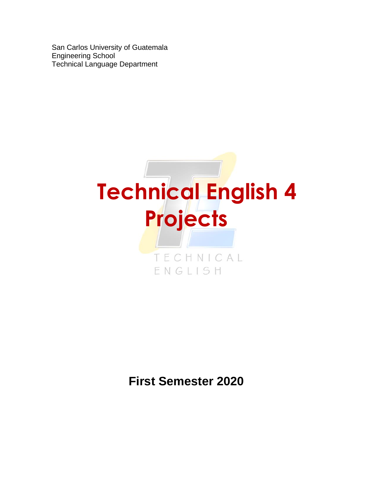San Carlos University of Guatemala Engineering School Technical Language Department



# **First Semester 2020**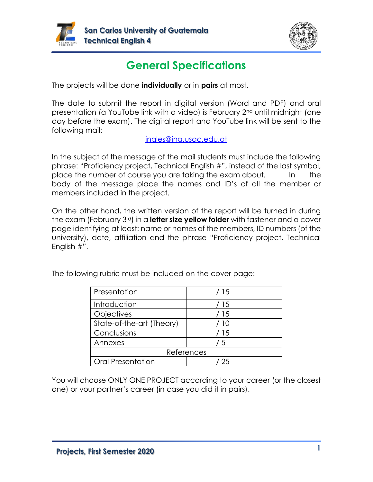



# **General Specifications**

The projects will be done **individually** or in **pairs** at most.

The date to submit the report in digital version (Word and PDF) and oral presentation (a YouTube link with a video) is February 2nd until midnight (one day before the exam). The digital report and YouTube link will be sent to the following mail:

## [ingles@ing.usac.edu.gt](mailto:ingles@ing.usac.edu.gt)

In the subject of the message of the mail students must include the following phrase: "Proficiency project, Technical English #", instead of the last symbol, place the number of course you are taking the exam about. In the body of the message place the names and ID's of all the member or members included in the project.

On the other hand, the written version of the report will be turned in during the exam (February 3rd) in a **letter size yellow folder** with fastener and a cover page identifying at least: name or names of the members, ID numbers (of the university), date, affiliation and the phrase "Proficiency project, Technical English #".

| Presentation              | / 15       |
|---------------------------|------------|
| Introduction              | / 15       |
| Objectives                | / 15       |
| State-of-the-art (Theory) | $\vert$ () |
| Conclusions               | / 15       |
| Annexes                   | 15         |
| References                |            |
| <b>Oral Presentation</b>  | -25        |

The following rubric must be included on the cover page:

You will choose ONLY ONE PROJECT according to your career (or the closest one) or your partner's career (in case you did it in pairs).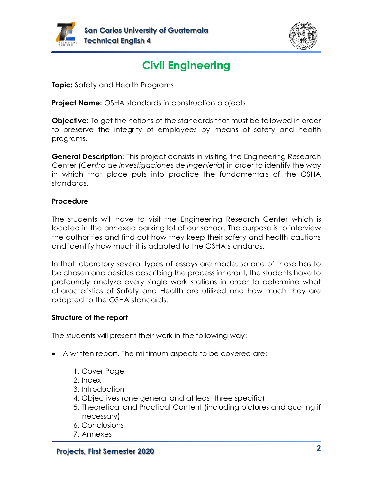



# **Civil Engineering**

**Topic:** Safety and Health Programs

**Project Name:** OSHA standards in construction projects

**Objective:** To get the notions of the standards that must be followed in order to preserve the integrity of employees by means of safety and health programs.

**General Description:** This project consists in visiting the Engineering Research Center (*Centro de Investigaciones de Ingeniería*) in order to identify the way in which that place puts into practice the fundamentals of the OSHA standards.

## **Procedure**

The students will have to visit the Engineering Research Center which is located in the annexed parking lot of our school. The purpose is to interview the authorities and find out how they keep their safety and health cautions and identify how much it is adapted to the OSHA standards.

In that laboratory several types of essays are made, so one of those has to be chosen and besides describing the process inherent, the students have to profoundly analyze every single work stations in order to determine what characteristics of Safety and Health are utilized and how much they are adapted to the OSHA standards.

## **Structure of the report**

- A written report. The minimum aspects to be covered are:
	- 1. Cover Page
	- 2. Index
	- 3. Introduction
	- 4. Objectives (one general and at least three specific)
	- 5. Theoretical and Practical Content (including pictures and quoting if necessary)
	- 6. Conclusions
	- 7. Annexes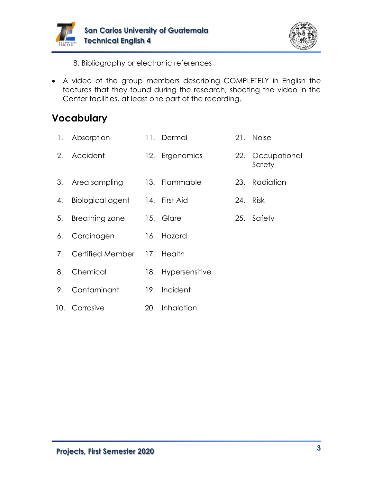



8. Bibliography or electronic references

• A video of the group members describing COMPLETELY in English the features that they found during the research, shooting the video in the Center facilities, at least one part of the recording.

|    | 1. Absorption                  | 11. Dermal         | 21. Noise                  |
|----|--------------------------------|--------------------|----------------------------|
|    | 2. Accident                    | 12. Ergonomics     | 22. Occupational<br>Safety |
|    | 3. Area sampling               | 13. Flammable      | 23. Radiation              |
| 4. | Biological agent 14. First Aid |                    | 24. Risk                   |
| 5. | Breathing zone                 | 15. Glare          | 25. Safety                 |
| 6. | Carcinogen                     | 16. Hazard         |                            |
|    | 7. Certified Member 17. Health |                    |                            |
|    | 8. Chemical                    | 18. Hypersensitive |                            |
| 9. | Contaminant                    | 19. Incident       |                            |
|    | 10. Corrosive                  | 20. Inhalation     |                            |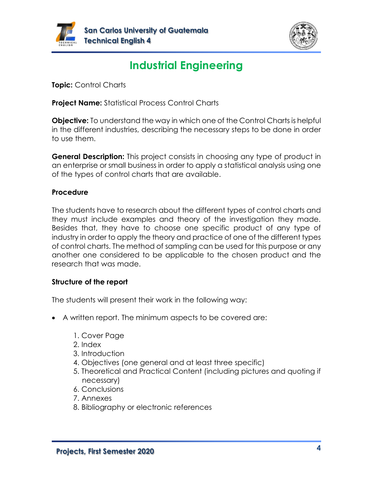



# **Industrial Engineering**

**Topic:** Control Charts

**Project Name:** Statistical Process Control Charts

**Objective:** To understand the way in which one of the Control Charts is helpful in the different industries, describing the necessary steps to be done in order to use them.

**General Description:** This project consists in choosing any type of product in an enterprise or small business in order to apply a statistical analysis using one of the types of control charts that are available.

## **Procedure**

The students have to research about the different types of control charts and they must include examples and theory of the investigation they made. Besides that, they have to choose one specific product of any type of industry in order to apply the theory and practice of one of the different types of control charts. The method of sampling can be used for this purpose or any another one considered to be applicable to the chosen product and the research that was made.

## **Structure of the report**

- A written report. The minimum aspects to be covered are:
	- 1. Cover Page
	- 2. Index
	- 3. Introduction
	- 4. Objectives (one general and at least three specific)
	- 5. Theoretical and Practical Content (including pictures and quoting if necessary)
	- 6. Conclusions
	- 7. Annexes
	- 8. Bibliography or electronic references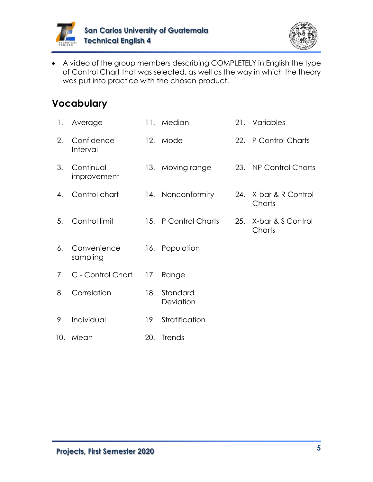



• A video of the group members describing COMPLETELY in English the type of Control Chart that was selected, as well as the way in which the theory was put into practice with the chosen product.

| $\mathbf{1}$ . | Average                  |     | 11. Median            |     | 21. Variables               |
|----------------|--------------------------|-----|-----------------------|-----|-----------------------------|
| 2.             | Confidence<br>Interval   |     | 12. Mode              |     | 22. P Control Charts        |
| 3.             | Continual<br>improvement |     | 13. Moving range      |     | 23. NP Control Charts       |
| 4.             | Control chart            |     | 14. Nonconformity     | 24. | X-bar & R Control<br>Charts |
| 5.             | Control limit            |     | 15. P Control Charts  | 25. | X-bar & S Control<br>Charts |
| 6.             | Convenience<br>sampling  |     | 16. Population        |     |                             |
| 7.             | C - Control Chart        |     | 17. Range             |     |                             |
| 8.             | Correlation              | 18. | Standard<br>Deviation |     |                             |
| 9.             | Individual               |     | 19. Stratification    |     |                             |
| 10.            | Mean                     | 20. | Trends                |     |                             |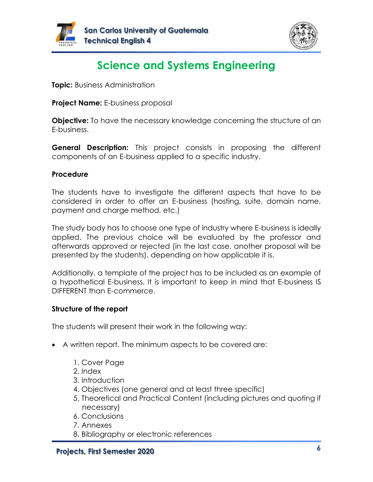



# **Science and Systems Engineering**

**Topic:** Business Administration

**Project Name:** E-business proposal

**Objective:** To have the necessary knowledge concerning the structure of an E-business.

**General Description:** This project consists in proposing the different components of an E-business applied to a specific industry.

## **Procedure**

The students have to investigate the different aspects that have to be considered in order to offer an E-business (hosting, suite, domain name, payment and charge method, etc.)

The study body has to choose one type of industry where E-business is ideally applied. The previous choice will be evaluated by the professor and afterwards approved or rejected (in the last case, another proposal will be presented by the students), depending on how applicable it is.

Additionally, a template of the project has to be included as an example of a hypothetical E-business. It is important to keep in mind that E-business IS DIFFERENT than E-commerce.

## **Structure of the report**

- A written report. The minimum aspects to be covered are:
	- 1. Cover Page
	- 2. Index
	- 3. Introduction
	- 4. Objectives (one general and at least three specific)
	- 5. Theoretical and Practical Content (including pictures and quoting if necessary)
	- 6. Conclusions
	- 7. Annexes
	- 8. Bibliography or electronic references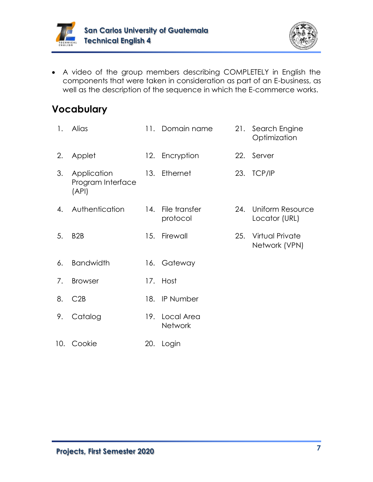



• A video of the group members describing COMPLETELY in English the components that were taken in consideration as part of an E-business, as well as the description of the sequence in which the E-commerce works.

| 1. | Alias                                     |     | 11. Domain name                  | 21. | Search Engine<br>Optimization     |
|----|-------------------------------------------|-----|----------------------------------|-----|-----------------------------------|
| 2. | Applet                                    |     | 12. Encryption                   | 22. | Server                            |
| 3. | Application<br>Program Interface<br>(API) |     | 13. Ethernet                     |     | 23. TCP/IP                        |
| 4. | Authentication                            | 14. | File transfer<br>protocol        | 24. | Uniform Resource<br>Locator (URL) |
| 5. | B <sub>2</sub> B                          | 15. | Firewall                         | 25. | Virtual Private<br>Network (VPN)  |
| 6. | <b>Bandwidth</b>                          |     | 16. Gateway                      |     |                                   |
| 7. | <b>Browser</b>                            |     | 17. Host                         |     |                                   |
| 8. | C2B                                       |     | 18. IP Number                    |     |                                   |
| 9. | Catalog                                   |     | 19. Local Area<br><b>Network</b> |     |                                   |
|    | 10. Cookie                                |     | 20. Login                        |     |                                   |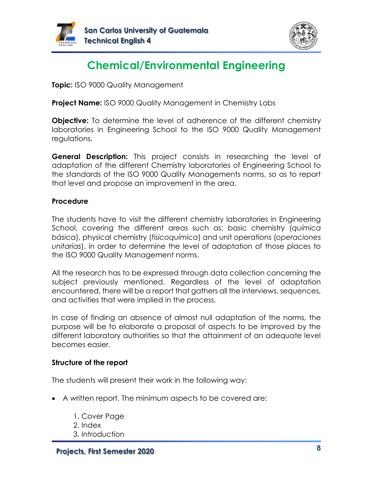



# **Chemical/Environmental Engineering**

**Topic:** ISO 9000 Quality Management

**Project Name:** ISO 9000 Quality Management in Chemistry Labs

**Objective:** To determine the level of adherence of the different chemistry laboratories in Engineering School to the ISO 9000 Quality Management regulations.

**General Description:** This project consists in researching the level of adaptation of the different Chemistry laboratories of Engineering School to the standards of the ISO 9000 Quality Managements norms, so as to report that level and propose an improvement in the area.

## **Procedure**

The students have to visit the different chemistry laboratories in Engineering School, covering the different areas such as: basic chemistry (*química básica*), physical chemistry (*fisicoquímica*) and unit operations (*operaciones unitarias*), in order to determine the level of adaptation of those places to the ISO 9000 Quality Management norms.

All the research has to be expressed through data collection concerning the subject previously mentioned. Regardless of the level of adaptation encountered, there will be a report that gathers all the interviews, sequences, and activities that were implied in the process.

In case of finding an absence of almost null adaptation of the norms, the purpose will be to elaborate a proposal of aspects to be improved by the different laboratory authorities so that the attainment of an adequate level becomes easier.

#### **Structure of the report**

- A written report. The minimum aspects to be covered are:
	- 1. Cover Page 2. Index 3. Introduction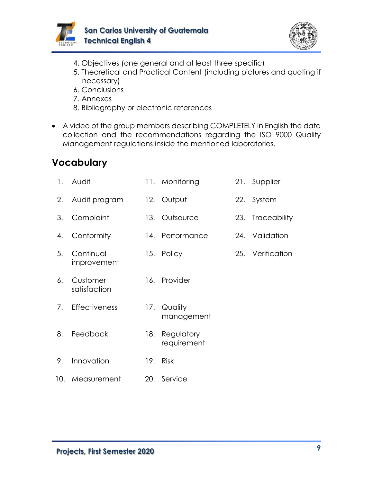



- 4. Objectives (one general and at least three specific)
- 5. Theoretical and Practical Content (including pictures and quoting if necessary)
- 6. Conclusions
- 7. Annexes
- 8. Bibliography or electronic references
- A video of the group members describing COMPLETELY in English the data collection and the recommendations regarding the ISO 9000 Quality Management regulations inside the mentioned laboratories.

| 1. | Audit                    |     | 11. Monitoring            | 21. Supplier     |
|----|--------------------------|-----|---------------------------|------------------|
|    | 2. Audit program         |     | 12. Output                | 22. System       |
| 3. | Complaint                |     | 13. Outsource             | 23. Traceability |
| 4. | Conformity               |     | 14. Performance           | 24. Validation   |
| 5. | Continual<br>improvement |     | 15. Policy                | 25. Verification |
| 6. | Customer<br>satisfaction |     | 16. Provider              |                  |
| 7. | <b>Effectiveness</b>     |     | 17. Quality<br>management |                  |
| 8. | Feedback                 | 18. | Regulatory<br>requirement |                  |
| 9. | Innovation               |     | 19. Risk                  |                  |
|    | 10. Measurement          |     | 20. Service               |                  |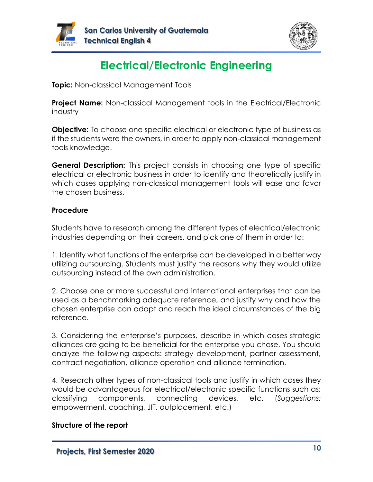



# **Electrical/Electronic Engineering**

**Topic:** Non-classical Management Tools

**Project Name:** Non-classical Management tools in the Electrical/Electronic industry

**Objective:** To choose one specific electrical or electronic type of business as if the students were the owners, in order to apply non-classical management tools knowledge.

**General Description:** This project consists in choosing one type of specific electrical or electronic business in order to identify and theoretically justify in which cases applying non-classical management tools will ease and favor the chosen business.

## **Procedure**

Students have to research among the different types of electrical/electronic industries depending on their careers, and pick one of them in order to:

1. Identify what functions of the enterprise can be developed in a better way utilizing outsourcing. Students must justify the reasons why they would utilize outsourcing instead of the own administration.

2. Choose one or more successful and international enterprises that can be used as a benchmarking adequate reference, and justify why and how the chosen enterprise can adapt and reach the ideal circumstances of the big reference.

3. Considering the enterprise's purposes, describe in which cases strategic alliances are going to be beneficial for the enterprise you chose. You should analyze the following aspects: strategy development, partner assessment, contract negotiation, alliance operation and alliance termination.

4. Research other types of non-classical tools and justify in which cases they would be advantageous for electrical/electronic specific functions such as: classifying components, connecting devices, etc. (*Suggestions:* empowerment, coaching, JIT, outplacement, etc.)

#### **Structure of the report**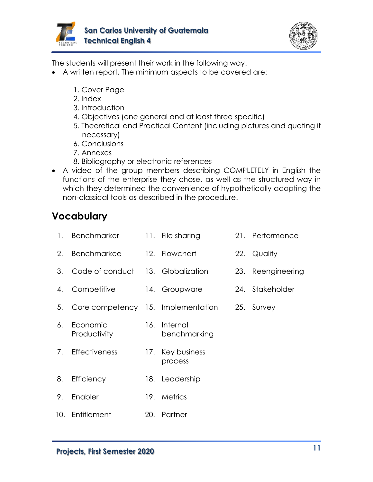



The students will present their work in the following way:

- A written report. The minimum aspects to be covered are:
	- 1. Cover Page
	- 2. Index
	- 3. Introduction
	- 4. Objectives (one general and at least three specific)
	- 5. Theoretical and Practical Content (including pictures and quoting if necessary)
	- 6. Conclusions
	- 7. Annexes
	- 8. Bibliography or electronic references
- A video of the group members describing COMPLETELY in English the functions of the enterprise they chose, as well as the structured way in which they determined the convenience of hypothetically adopting the non-classical tools as described in the procedure.

| 1. | Benchmarker                       | 11. File sharing                              | 21. Performance   |
|----|-----------------------------------|-----------------------------------------------|-------------------|
| 2. | <b>Benchmarkee</b>                | 12. Flowchart                                 | 22. Quality       |
| 3. | Code of conduct 13. Globalization |                                               | 23. Reengineering |
| 4. | Competitive                       | 14. Groupware                                 | 24. Stakeholder   |
| 5. |                                   | Core competency 15. Implementation 25. Survey |                   |
| 6. | Economic<br>Productivity          | 16. Internal<br>benchmarking                  |                   |
| 7. | <b>Effectiveness</b>              | 17. Key business<br>process                   |                   |
| 8. | Efficiency                        | 18. Leadership                                |                   |
| 9. | Enabler                           | 19. Metrics                                   |                   |
|    | 10. Entitlement                   | 20. Partner                                   |                   |
|    |                                   |                                               |                   |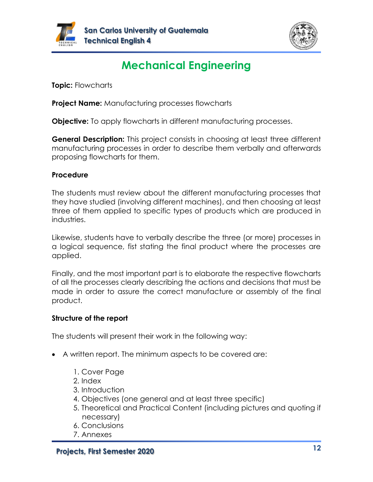



# **Mechanical Engineering**

**Topic:** Flowcharts

**Project Name:** Manufacturing processes flowcharts

**Objective:** To apply flowcharts in different manufacturing processes.

**General Description:** This project consists in choosing at least three different manufacturing processes in order to describe them verbally and afterwards proposing flowcharts for them.

## **Procedure**

The students must review about the different manufacturing processes that they have studied (involving different machines), and then choosing at least three of them applied to specific types of products which are produced in industries.

Likewise, students have to verbally describe the three (or more) processes in a logical sequence, fist stating the final product where the processes are applied.

Finally, and the most important part is to elaborate the respective flowcharts of all the processes clearly describing the actions and decisions that must be made in order to assure the correct manufacture or assembly of the final product.

## **Structure of the report**

- A written report. The minimum aspects to be covered are:
	- 1. Cover Page
	- 2. Index
	- 3. Introduction
	- 4. Objectives (one general and at least three specific)
	- 5. Theoretical and Practical Content (including pictures and quoting if necessary)
	- 6. Conclusions
	- 7. Annexes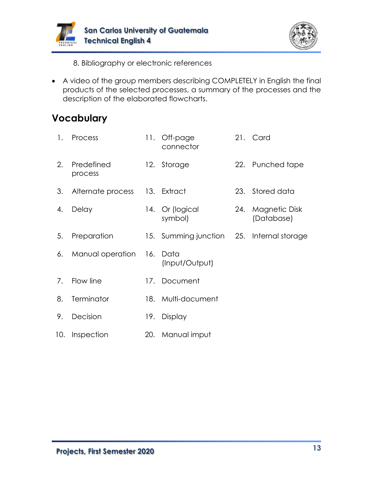



8. Bibliography or electronic references

• A video of the group members describing COMPLETELY in English the final products of the selected processes, a summary of the processes and the description of the elaborated flowcharts.

| $\mathbf{1}$ . | Process               |     | 11. Off-page<br>connector             |     | 21. Card                    |
|----------------|-----------------------|-----|---------------------------------------|-----|-----------------------------|
| 2.             | Predefined<br>process |     | 12. Storage                           |     | 22. Punched tape            |
| 3.             | Alternate process     |     | 13. Extract                           |     | 23. Stored data             |
| 4.             | Delay                 |     | 14. Or (logical<br>symbol)            | 24. | Magnetic Disk<br>(Database) |
| 5.             | Preparation           | 15. | Summing junction 25. Internal storage |     |                             |
| 6.             | Manual operation      | 16. | Data<br>(Input/Output)                |     |                             |
| 7.             | Flow line             |     | 17. Document                          |     |                             |
| 8.             | Terminator            |     | 18. Multi-document                    |     |                             |
| 9.             | Decision              |     | 19. Display                           |     |                             |
| 10.            | Inspection            |     | 20. Manual imput                      |     |                             |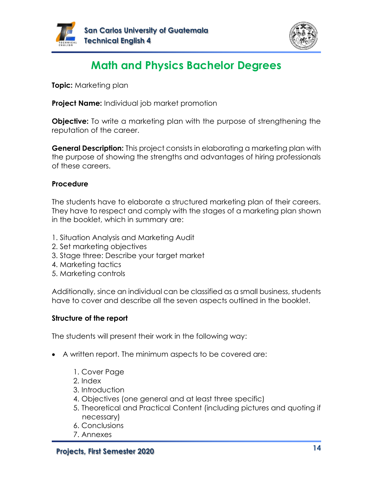



# **Math and Physics Bachelor Degrees**

**Topic:** Marketing plan

**Project Name:** Individual job market promotion

**Objective:** To write a marketing plan with the purpose of strengthening the reputation of the career.

**General Description:** This project consists in elaborating a marketing plan with the purpose of showing the strengths and advantages of hiring professionals of these careers.

## **Procedure**

The students have to elaborate a structured marketing plan of their careers. They have to respect and comply with the stages of a marketing plan shown in the booklet, which in summary are:

- 1. Situation Analysis and Marketing Audit
- 2. Set marketing objectives
- 3. Stage three: Describe your target market
- 4. Marketing tactics
- 5. Marketing controls

Additionally, since an individual can be classified as a small business, students have to cover and describe all the seven aspects outlined in the booklet.

## **Structure of the report**

- A written report. The minimum aspects to be covered are:
	- 1. Cover Page
	- 2. Index
	- 3. Introduction
	- 4. Objectives (one general and at least three specific)
	- 5. Theoretical and Practical Content (including pictures and quoting if necessary)
	- 6. Conclusions
	- 7. Annexes